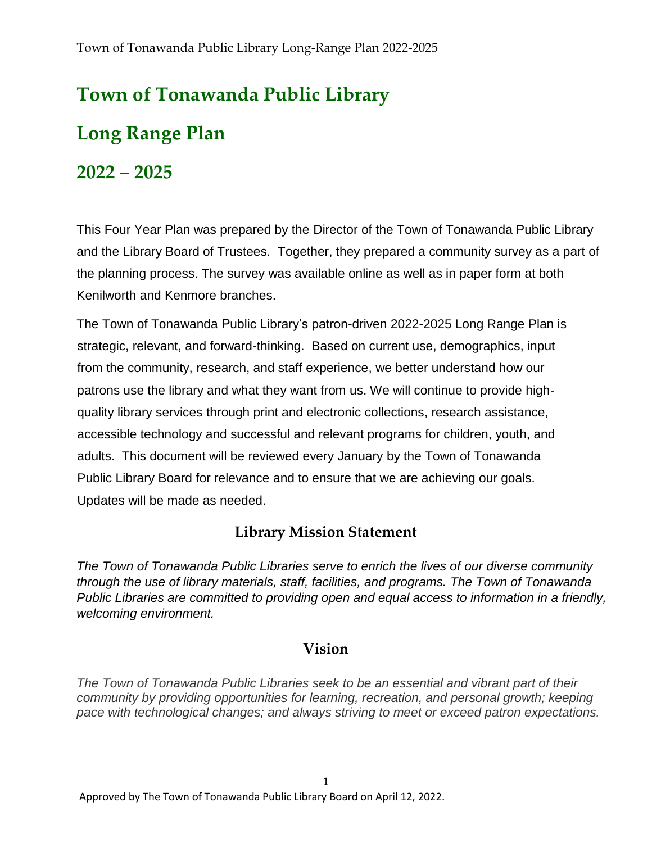# **Town of Tonawanda Public Library**

## **Long Range Plan**

## **2022 – 2025**

This Four Year Plan was prepared by the Director of the Town of Tonawanda Public Library and the Library Board of Trustees. Together, they prepared a community survey as a part of the planning process. The survey was available online as well as in paper form at both Kenilworth and Kenmore branches.

The Town of Tonawanda Public Library's patron-driven 2022-2025 Long Range Plan is strategic, relevant, and forward-thinking. Based on current use, demographics, input from the community, research, and staff experience, we better understand how our patrons use the library and what they want from us. We will continue to provide highquality library services through print and electronic collections, research assistance, accessible technology and successful and relevant programs for children, youth, and adults. This document will be reviewed every January by the Town of Tonawanda Public Library Board for relevance and to ensure that we are achieving our goals. Updates will be made as needed.

#### **Library Mission Statement**

*The Town of Tonawanda Public Libraries serve to enrich the lives of our diverse community through the use of library materials, staff, facilities, and programs. The Town of Tonawanda Public Libraries are committed to providing open and equal access to information in a friendly, welcoming environment.*

#### **Vision**

*The Town of Tonawanda Public Libraries seek to be an essential and vibrant part of their community by providing opportunities for learning, recreation, and personal growth; keeping pace with technological changes; and always striving to meet or exceed patron expectations.*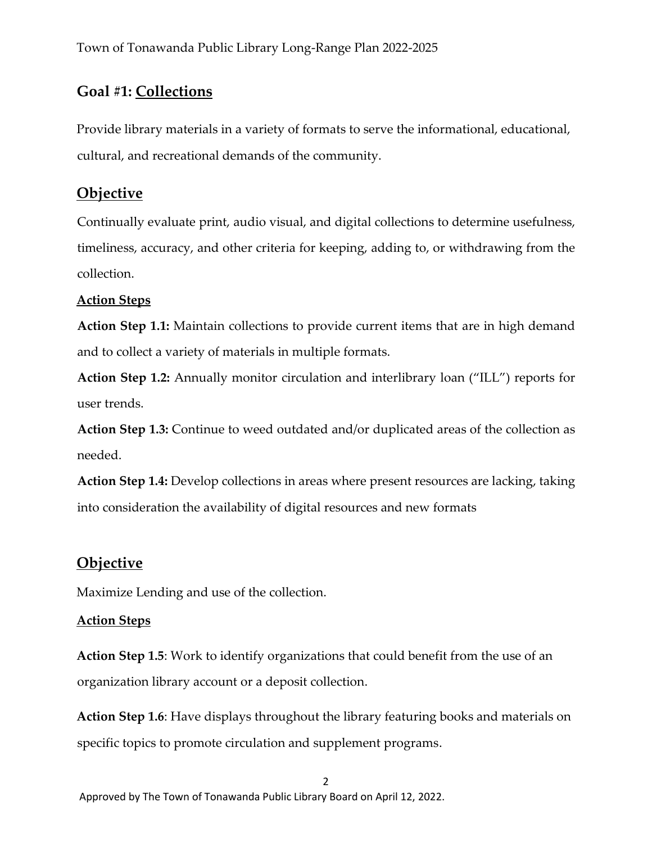#### **Goal #1: Collections**

Provide library materials in a variety of formats to serve the informational, educational, cultural, and recreational demands of the community.

#### **Objective**

Continually evaluate print, audio visual, and digital collections to determine usefulness, timeliness, accuracy, and other criteria for keeping, adding to, or withdrawing from the collection.

#### **Action Steps**

**Action Step 1.1:** Maintain collections to provide current items that are in high demand and to collect a variety of materials in multiple formats.

**Action Step 1.2:** Annually monitor circulation and interlibrary loan ("ILL") reports for user trends.

**Action Step 1.3:** Continue to weed outdated and/or duplicated areas of the collection as needed.

**Action Step 1.4:** Develop collections in areas where present resources are lacking, taking into consideration the availability of digital resources and new formats

#### **Objective**

Maximize Lending and use of the collection.

#### **Action Steps**

**Action Step 1.5**: Work to identify organizations that could benefit from the use of an organization library account or a deposit collection.

**Action Step 1.6**: Have displays throughout the library featuring books and materials on specific topics to promote circulation and supplement programs.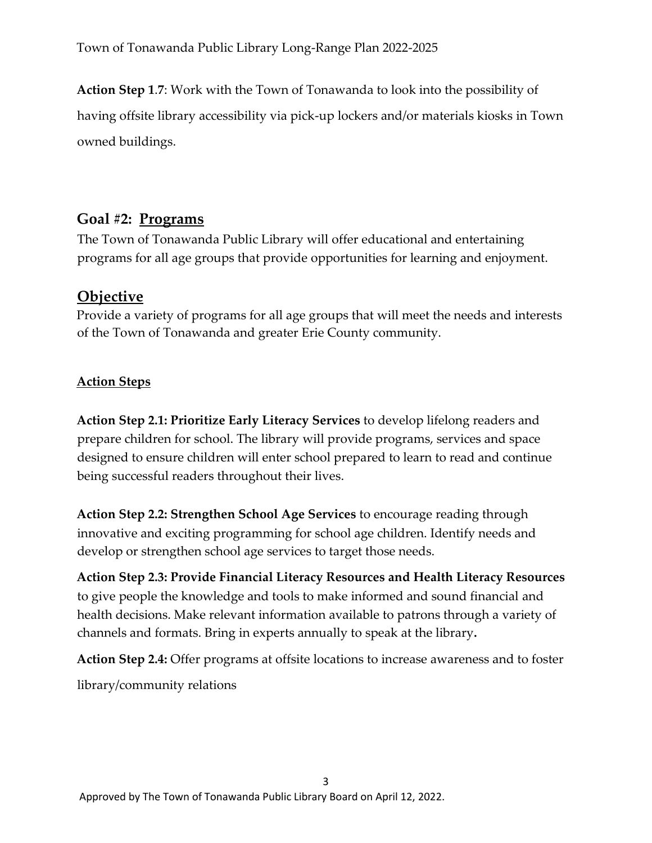**Action Step 1**.**7**: Work with the Town of Tonawanda to look into the possibility of having offsite library accessibility via pick-up lockers and/or materials kiosks in Town owned buildings.

#### **Goal #2: Programs**

The Town of Tonawanda Public Library will offer educational and entertaining programs for all age groups that provide opportunities for learning and enjoyment.

#### **Objective**

Provide a variety of programs for all age groups that will meet the needs and interests of the Town of Tonawanda and greater Erie County community.

#### **Action Steps**

**Action Step 2.1: Prioritize Early Literacy Services** to develop lifelong readers and prepare children for school. The library will provide programs, services and space designed to ensure children will enter school prepared to learn to read and continue being successful readers throughout their lives.

**Action Step 2.2: Strengthen School Age Services** to encourage reading through innovative and exciting programming for school age children. Identify needs and develop or strengthen school age services to target those needs.

**Action Step 2.3: Provide Financial Literacy Resources and Health Literacy Resources** to give people the knowledge and tools to make informed and sound financial and health decisions. Make relevant information available to patrons through a variety of channels and formats. Bring in experts annually to speak at the library**.**

**Action Step 2.4:** Offer programs at offsite locations to increase awareness and to foster

library/community relations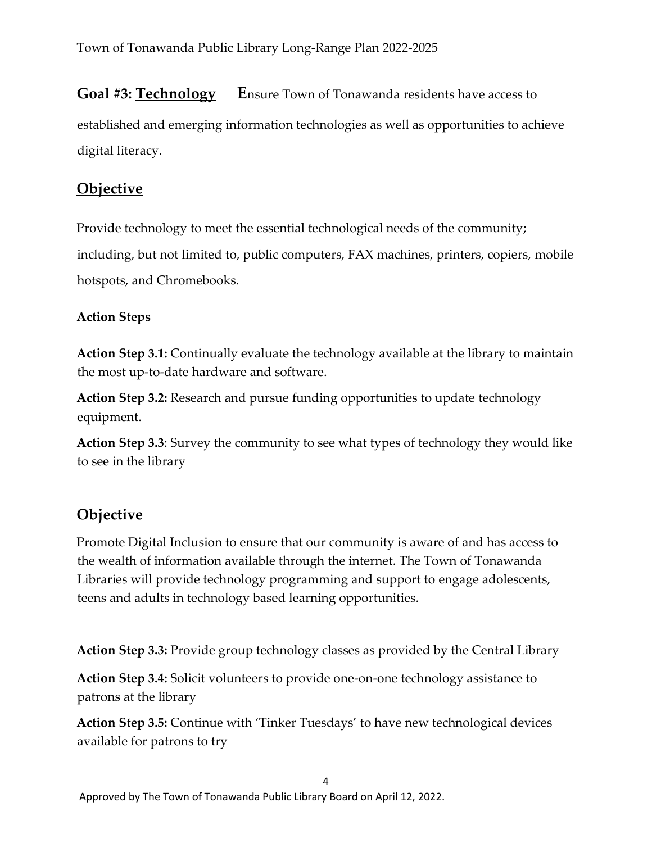#### **Goal #3: Technology** Ensure Town of Tonawanda residents have access to

established and emerging information technologies as well as opportunities to achieve digital literacy.

#### **Objective**

Provide technology to meet the essential technological needs of the community;

including, but not limited to, public computers, FAX machines, printers, copiers, mobile hotspots, and Chromebooks.

#### **Action Steps**

**Action Step 3.1:** Continually evaluate the technology available at the library to maintain the most up-to-date hardware and software.

**Action Step 3.2:** Research and pursue funding opportunities to update technology equipment.

**Action Step 3.3**: Survey the community to see what types of technology they would like to see in the library

### **Objective**

Promote Digital Inclusion to ensure that our community is aware of and has access to the wealth of information available through the internet. The Town of Tonawanda Libraries will provide technology programming and support to engage adolescents, teens and adults in technology based learning opportunities.

**Action Step 3.3:** Provide group technology classes as provided by the Central Library

**Action Step 3.4:** Solicit volunteers to provide one-on-one technology assistance to patrons at the library

**Action Step 3.5:** Continue with 'Tinker Tuesdays' to have new technological devices available for patrons to try

4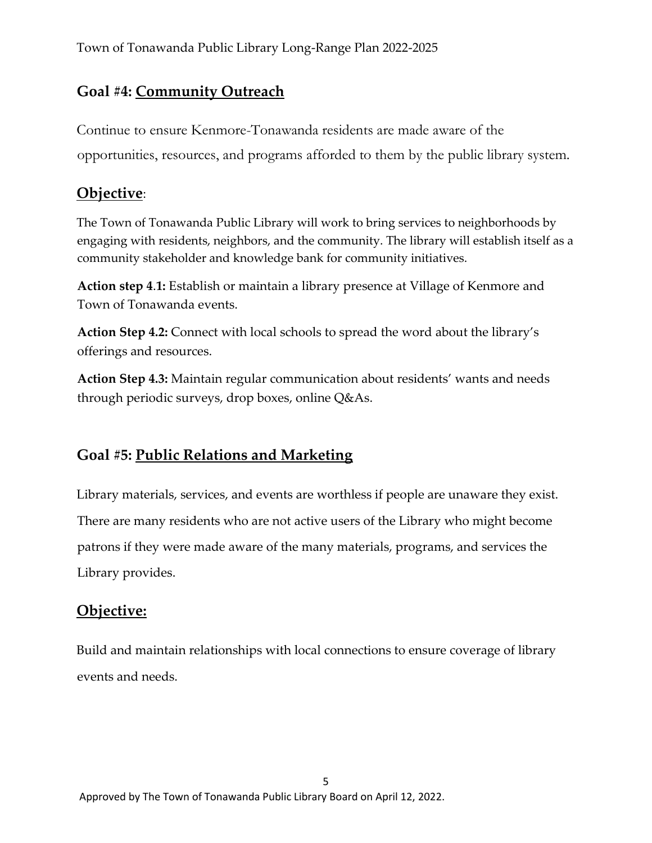#### **Goal #4: Community Outreach**

Continue to ensure Kenmore-Tonawanda residents are made aware of the opportunities, resources, and programs afforded to them by the public library system.

#### **Objective**:

The Town of Tonawanda Public Library will work to bring services to neighborhoods by engaging with residents, neighbors, and the community. The library will establish itself as a community stakeholder and knowledge bank for community initiatives.

**Action step 4**.**1:** Establish or maintain a library presence at Village of Kenmore and Town of Tonawanda events.

**Action Step 4.2:** Connect with local schools to spread the word about the library's offerings and resources.

**Action Step 4.3:** Maintain regular communication about residents' wants and needs through periodic surveys, drop boxes, online Q&As.

#### **Goal #5: Public Relations and Marketing**

Library materials, services, and events are worthless if people are unaware they exist. There are many residents who are not active users of the Library who might become patrons if they were made aware of the many materials, programs, and services the Library provides.

#### **Objective:**

Build and maintain relationships with local connections to ensure coverage of library events and needs.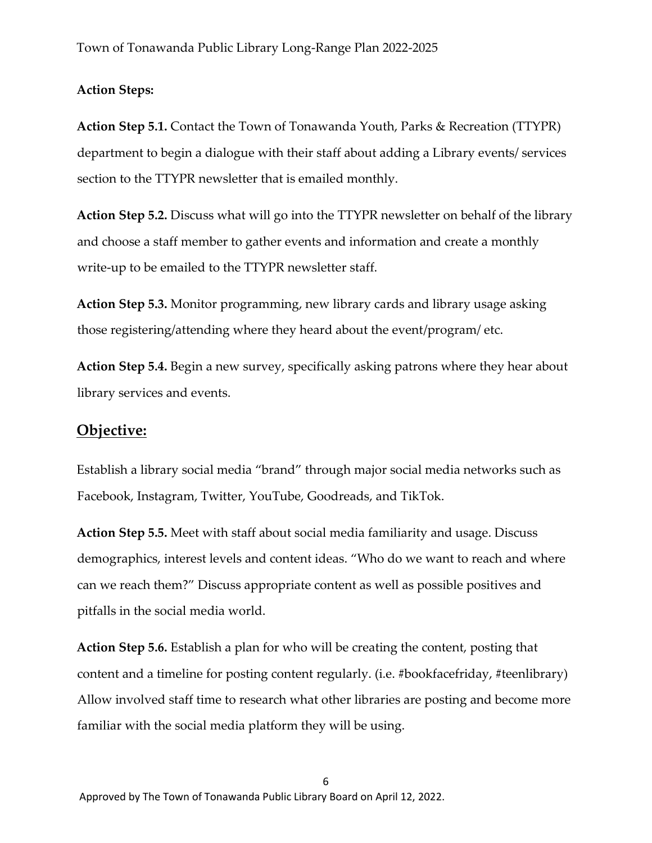#### **Action Steps:**

**Action Step 5.1.** Contact the Town of Tonawanda Youth, Parks & Recreation (TTYPR) department to begin a dialogue with their staff about adding a Library events/ services section to the TTYPR newsletter that is emailed monthly.

**Action Step 5.2.** Discuss what will go into the TTYPR newsletter on behalf of the library and choose a staff member to gather events and information and create a monthly write-up to be emailed to the TTYPR newsletter staff.

**Action Step 5.3.** Monitor programming, new library cards and library usage asking those registering/attending where they heard about the event/program/ etc.

**Action Step 5.4.** Begin a new survey, specifically asking patrons where they hear about library services and events.

#### **Objective:**

Establish a library social media "brand" through major social media networks such as Facebook, Instagram, Twitter, YouTube, Goodreads, and TikTok.

**Action Step 5.5.** Meet with staff about social media familiarity and usage. Discuss demographics, interest levels and content ideas. "Who do we want to reach and where can we reach them?" Discuss appropriate content as well as possible positives and pitfalls in the social media world.

**Action Step 5.6.** Establish a plan for who will be creating the content, posting that content and a timeline for posting content regularly. (i.e. #bookfacefriday, #teenlibrary) Allow involved staff time to research what other libraries are posting and become more familiar with the social media platform they will be using.